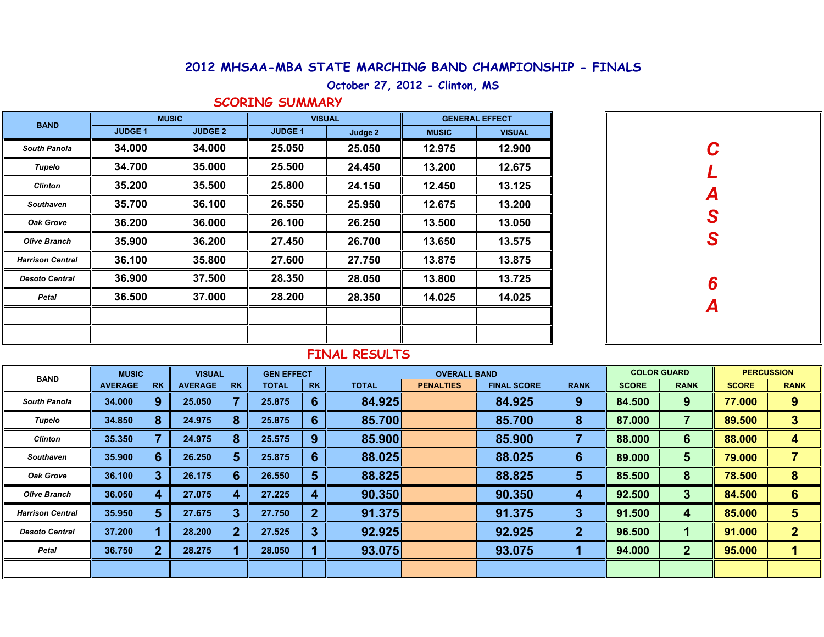## **2012 MHSAA-MBA STATE MARCHING BAND CHAMPIONSHIP - FINALS**

#### **October 27, 2012 - Clinton, MS**

#### **SCORING SUMMARY**

| <b>BAND</b>             | <b>MUSIC</b>   |                | <b>VISUAL</b>  |         | <b>GENERAL EFFECT</b> |               |  |  |
|-------------------------|----------------|----------------|----------------|---------|-----------------------|---------------|--|--|
|                         | <b>JUDGE 1</b> | <b>JUDGE 2</b> | <b>JUDGE 1</b> | Judge 2 | <b>MUSIC</b>          | <b>VISUAL</b> |  |  |
| <b>South Panola</b>     | 34.000         | 34.000         | 25.050         | 25.050  | 12.975                | 12.900        |  |  |
| Tupelo                  | 34.700         | 35.000         | 25.500         | 24.450  | 13.200                | 12.675        |  |  |
| <b>Clinton</b>          | 35.200         | 35.500         | 25.800         | 24.150  | 12.450                | 13.125        |  |  |
| <b>Southaven</b>        | 35.700         | 36.100         | 26.550         | 25.950  | 12.675                | 13.200        |  |  |
| <b>Oak Grove</b>        | 36.200         | 36.000         | 26.100         | 26.250  | 13.500                | 13.050        |  |  |
| <b>Olive Branch</b>     | 35,900         | 36,200         | 27.450         | 26.700  | 13.650                | 13.575        |  |  |
| <b>Harrison Central</b> | 36.100         | 35.800         | 27.600         | 27.750  | 13,875                | 13.875        |  |  |
| <b>Desoto Central</b>   | 36.900         | 37.500         | 28.350         | 28.050  | 13.800                | 13.725        |  |  |
| Petal                   | 36.500         | 37.000         | 28.200         | 28.350  | 14.025                | 14.025        |  |  |
|                         |                |                |                |         |                       |               |  |  |
|                         |                |                |                |         |                       |               |  |  |

| $\mathbf C$<br>$\overline{L}$<br>A<br>S<br>S |  |
|----------------------------------------------|--|
| $\frac{6}{4}$                                |  |
|                                              |  |

### **FINAL RESULTS**

| <b>BAND</b>             | <b>MUSIC</b><br><b>VISUAL</b> |                |                |              | <b>GEN EFFECT</b> |                |              | <b>OVERALL BAND</b> |                    |              | <b>COLOR GUARD</b> | <b>PERCUSSION</b> |              |                |
|-------------------------|-------------------------------|----------------|----------------|--------------|-------------------|----------------|--------------|---------------------|--------------------|--------------|--------------------|-------------------|--------------|----------------|
|                         | <b>AVERAGE</b>                | <b>RK</b>      | <b>AVERAGE</b> | <b>RK</b>    | <b>TOTAL</b>      | <b>RK</b>      | <b>TOTAL</b> | <b>PENALTIES</b>    | <b>FINAL SCORE</b> | <b>RANK</b>  | <b>SCORE</b>       | <b>RANK</b>       | <b>SCORE</b> | <b>RANK</b>    |
| <b>South Panola</b>     | 34,000                        | 9              | 25.050         |              | 25.875            | 6              | 84.925       |                     | 84.925             | 9            | 84.500             | 9                 | 77.000       | 9              |
| Tupelo                  | 34.850                        | 8              | 24.975         | 8            | 25.875            | $6 \,$         | 85.700       |                     | 85.700             | 8            | 87.000             |                   | 89.500       | 3              |
| <b>Clinton</b>          | 35.350                        |                | 24.975         | 8            | 25.575            | 9              | 85.900       |                     | 85.900             |              | 88.000             | 6                 | 88.000       | 4              |
| Southaven               | 35.900                        | 6              | 26.250         | 5            | 25.875            | 6              | 88.025       |                     | 88.025             | 6            | 89.000             | 5                 | 79.000       |                |
| <b>Oak Grove</b>        | 36.100                        | 3              | 26.175         | 6            | 26.550            | 5              | 88.825       |                     | 88.825             | 5            | 85.500             | 8                 | 78.500       | 8              |
| <b>Olive Branch</b>     | 36.050                        | 4              | 27.075         | 4            | 27.225            | 4              | 90.350       |                     | 90.350             | 4            | 92.500             | 3                 | 84.500       | 6              |
| <b>Harrison Central</b> | 35.950                        | $5\phantom{1}$ | 27.675         | 3            | 27.750            | $\overline{2}$ | 91.375       |                     | 91.375             | 3            | 91.500             | 4                 | 85.000       | 5              |
| <b>Desoto Central</b>   | 37.200                        |                | 28.200         | $\mathbf{2}$ | 27.525            | 3              | 92.925       |                     | 92.925             | $\mathbf{2}$ | 96.500             |                   | 91.000       | $\overline{2}$ |
| Petal                   | 36.750                        | $\mathbf 2$    | 28.275         |              | 28.050            |                | 93.075       |                     | 93.075             |              | 94.000             | $\overline{2}$    | 95.000       |                |
|                         |                               |                |                |              |                   |                |              |                     |                    |              |                    |                   |              |                |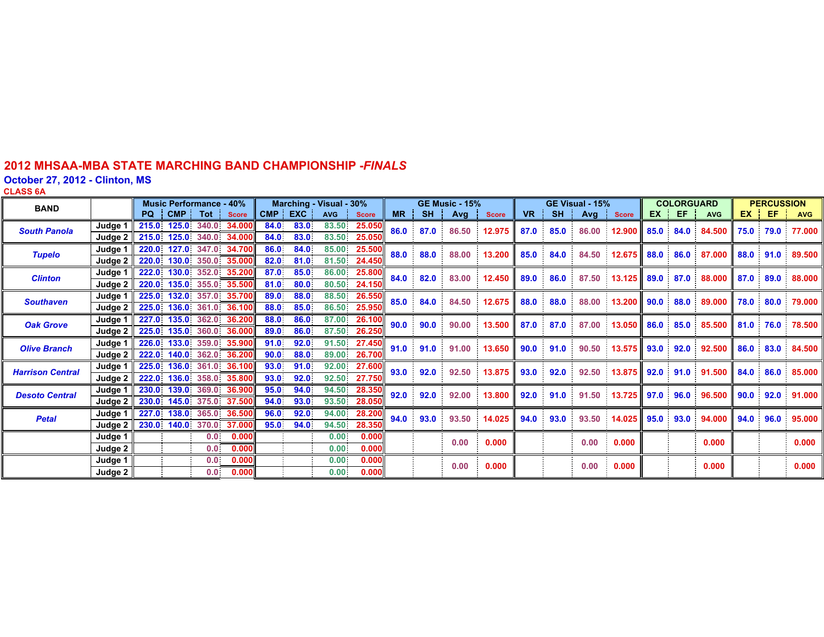### **2012 MHSAA-MBA STATE MARCHING BAND CHAMPIONSHIP -** *FINALS*

**October 27, 2012 - Clinton, MS CLASS 6A**

| <b>BAND</b>             |           | <b>Music Performance - 40%</b> |                   |                  | Marching - Visual - 30%  |            |            |                   | <b>GE Music - 15%</b> |           |           | GE Visual - 15% |              |           |           | <b>COLORGUARD</b> |                  |           | <b>PERCUSSION</b> |                           |           |           |                  |
|-------------------------|-----------|--------------------------------|-------------------|------------------|--------------------------|------------|------------|-------------------|-----------------------|-----------|-----------|-----------------|--------------|-----------|-----------|-------------------|------------------|-----------|-------------------|---------------------------|-----------|-----------|------------------|
|                         |           | PQ.                            | <b>CMP</b>        | <b>Tot</b>       | <b>Score</b>             | <b>CMP</b> | <b>EXC</b> | <b>AVG</b>        | <b>Score</b>          | <b>MR</b> | <b>SH</b> | Avg             | <b>Score</b> | <b>VR</b> | <b>SH</b> | Avg               | <b>Score</b>     | EX        | EF.               | <b>AVG</b>                | EX.       | EF        | <b>AVG</b>       |
| <b>South Panola</b>     | Judge     |                                | 215.0 125.0 340.0 |                  | 34.000                   | 84.0       | 83.0       | 83.50             | 25.050                | 86.0      | 87.0      | 86.50           | 12.975       | 87.0      | 85.0      | 86.00             | 12.900           |           |                   | 85.0 84.0 84.500          |           | 75.0 79.0 | 77.000           |
|                         | Judge 2   |                                |                   |                  | 215.0 125.0 340.0 34.000 | 84.0       | 83.0       | 83.50             | 25.050                |           |           |                 |              |           |           |                   |                  |           |                   |                           |           |           |                  |
| <b>Tupelo</b>           | Judge 1   | 220.0                          | $127.0 -$         | 347.0            | 34.700                   | 86.0       | 84.0       | 85.00             | 25.500                | 88.0      | 88.0      | 88.00           | 13.200       | 85.0      | 84.0      | 84.50             | 12.675           |           | 88.0 86.0         | 87.000                    |           |           | 88.0 91.0 89.500 |
|                         | Judge 2   |                                | 220.0 130.0 350.0 |                  | 35.000                   | 82.0       | 81.0       | 81.50             | 24.450                |           |           |                 |              |           |           |                   |                  |           |                   |                           |           |           |                  |
| <b>Clinton</b>          | Judge 1   | 222.0                          |                   |                  | 130.0 352.0 35.200       | 87.0       | 85.0       | 86.00             | 25.800                | 84.0      | 82.0      | 83.00           | 12.450       | 89.0      | 86.0      | 87.50             | 13.125           | 89.0 87.0 |                   | 88.000                    | 87.0 89.0 |           | 88.000           |
|                         | Judge 2   |                                |                   |                  | 220.0 135.0 355.0 35.500 | 81.0       | $80.0 -$   | 80.50             | 24.150                |           |           |                 |              |           |           |                   |                  |           |                   |                           |           |           |                  |
| <b>Southaven</b>        | Judge 1   |                                |                   |                  | 225.0 132.0 357.0 35.700 | 89.0       | 88.0       |                   | 88.50 26.550          | 85.0      | 84.0      | 84.50           | 12.675       | 88.0      | 88.0      | 88.00             | 13.200           |           | $90.0 \t 88.0$    | 89.000                    |           | 78.0 80.0 | 79.000           |
|                         | Judge 2   |                                |                   |                  | 225.0 136.0 361.0 36.100 | 88.0       | 85.0       |                   | 86.50 25.950          |           |           |                 |              |           |           |                   |                  |           |                   |                           |           |           |                  |
| <b>Oak Grove</b>        | Judge 1   |                                |                   |                  | 227.0 135.0 362.0 36.200 | 88.0       | 86.0       | 87.00             | 26.100                | 90.0      | 90.0      | 90.00           | 13.500       | 87.0      | 87.0      | 87.00             | 13.050           | 86.0 85.0 |                   | 85.500                    | 81.0 76.0 |           | 78.500           |
|                         | Judge 2   |                                | 225.0 135.0 360.0 |                  | 36.000                   | 89.0       | 86.0       | 87.50             | 26.250                |           |           |                 |              |           |           |                   |                  |           |                   |                           |           |           |                  |
| <b>Olive Branch</b>     | Judge 1   |                                | 226.0 133.0 359.0 |                  | 35.900                   | 91.0       | 92.0       | 91.50             | 27.450                | 91.0      | 91.0      | 91.00           | 13.650       | 90.0      | 91.0      | 90.50             | 13.575 93.0 92.0 |           |                   | 92.500                    |           | 86.0 83.0 | 84.500           |
|                         | Judge 2   | 222.0                          |                   |                  | 140.0 362.0 36.200       | 90.0       | 88.0       | 89.00             | 26.700                |           |           |                 |              |           |           |                   |                  |           |                   |                           |           |           |                  |
| <b>Harrison Central</b> | Judge 1 I |                                |                   |                  | 225.0 136.0 361.0 36.100 | 93.0       | 91.0.      | 92.00.            | 27.600                | 93.0      | 92.0      | 92.50           | 13.875       | 93.0      | 92.0      | 92.50             |                  |           |                   | $13.875$ 92.0 91.0 91.500 |           |           | 84.0 86.0 85.000 |
|                         | Judge 2   |                                |                   |                  | 222.0 136.0 358.0 35.800 | 93.0       | 92.0       | 92.50             | 27.750                |           |           |                 |              |           |           |                   |                  |           |                   |                           |           |           |                  |
| <b>Desoto Central</b>   | Judge 1   |                                |                   |                  | 230.0 139.0 369.0 36.900 | 95.0       | 94.0       |                   | 94.50 28.350          | 92.0      | 92.0      | 92.00           | 13.800       | 92.0      | 91.0      | 91.50             | 13.725           | 97.0 96.0 |                   | 96.500                    | 90.0      | 92.0      | 91.000           |
|                         | Judge 2   |                                |                   |                  | 230.0 145.0 375.0 37.500 | 94.0       | 93.0       | 93.50             | 28.050                |           |           |                 |              |           |           |                   |                  |           |                   |                           |           |           |                  |
| <b>Petal</b>            | Judge 1   |                                |                   |                  | 227.0 138.0 365.0 36.500 | 96.0       | 92.0       |                   | 94.00 28.200          | 94.0      | 93.0      | 93.50           | 14.025       | 94.0      | 93.0      | 93.50             | 14.025           | 95.0 93.0 |                   | 94.000                    |           | 94.0 96.0 | 95.000           |
|                         | Judge 2   |                                | 230.0 140.0 370.0 |                  | 37.000                   | 95.0       | 94.0       | 94.50             | 28.350                |           |           |                 |              |           |           |                   |                  |           |                   |                           |           |           |                  |
|                         | Judge 1   |                                |                   | 0.0 <sub>1</sub> | 0.000                    |            |            | 0.00 <sub>1</sub> | 0.000                 |           |           | 0.00            | 0.000        |           |           | 0.00              | 0.000            |           |                   | 0.000                     |           |           | 0.000            |
|                         | Judge 2   |                                |                   | 0.0 <sub>1</sub> | 0.000                    |            |            | 0.00              | 0.000                 |           |           |                 |              |           |           |                   |                  |           |                   |                           |           |           |                  |
|                         | Judge 1 I |                                |                   | 0.0 <sub>1</sub> | 0.000                    |            |            | 0.00 <sub>1</sub> | 0.000                 |           |           | 0.00            | 0.000        |           |           | 0.00              | 0.000            |           |                   | 0.000                     |           |           | 0.000            |
|                         | Judge 2   |                                |                   | 0.0 <sub>1</sub> | 0.000                    |            |            | 0.00              | 0.000                 |           |           |                 |              |           |           |                   |                  |           |                   |                           |           |           |                  |